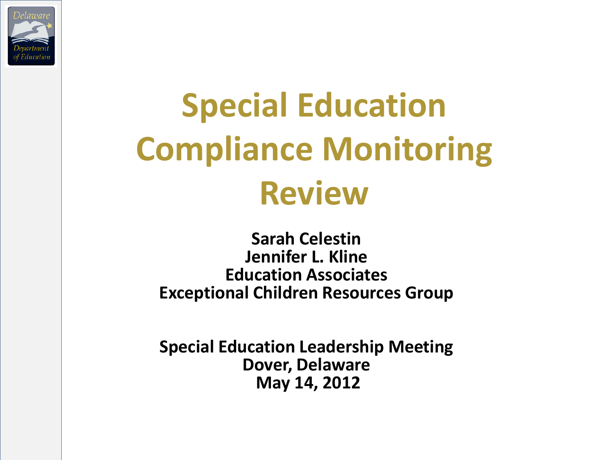

# **Special Education Compliance Monitoring Review**

**Sarah Celestin Jennifer L. Kline Education Associates Exceptional Children Resources Group**

**Special Education Leadership Meeting Dover, Delaware May 14, 2012**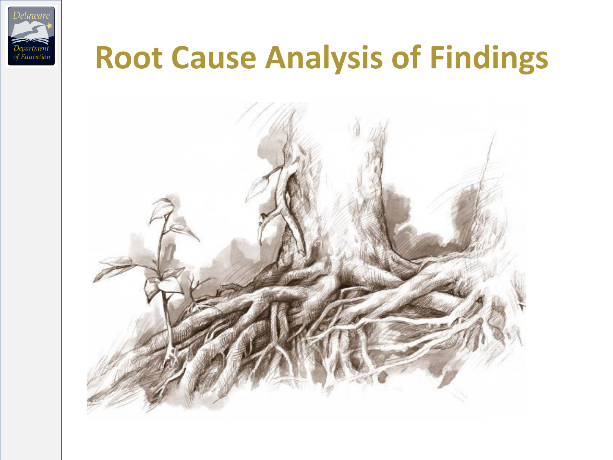

#### **Root Cause Analysis of Findings**

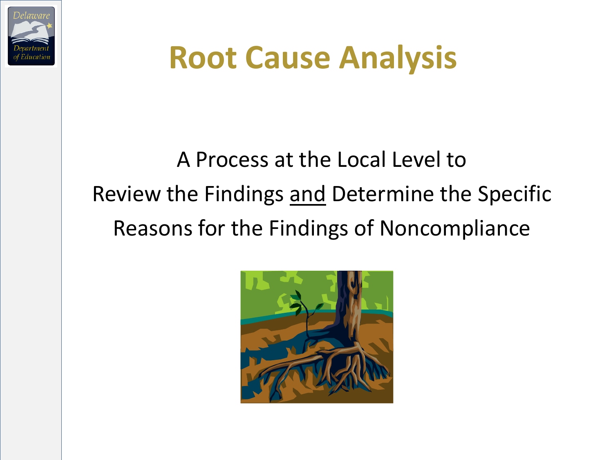

# **Root Cause Analysis**

#### A Process at the Local Level to Review the Findings and Determine the Specific Reasons for the Findings of Noncompliance

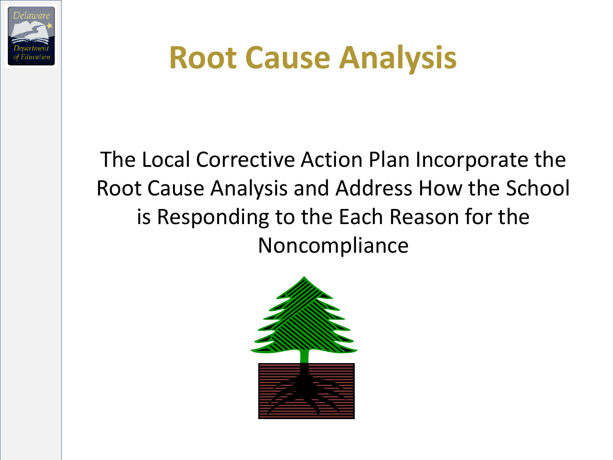

# **Root Cause Analysis**

The Local Corrective Action Plan Incorporate the Root Cause Analysis and Address How the School is Responding to the Each Reason for the Noncompliance

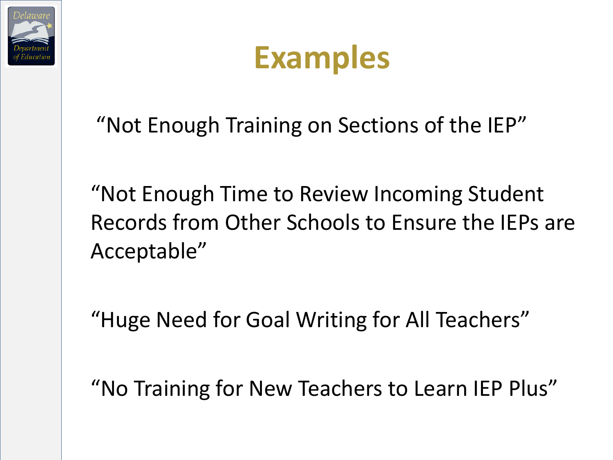



"Not Enough Training on Sections of the IEP"

"Not Enough Time to Review Incoming Student Records from Other Schools to Ensure the IEPs are Acceptable"

"Huge Need for Goal Writing for All Teachers"

"No Training for New Teachers to Learn IEP Plus"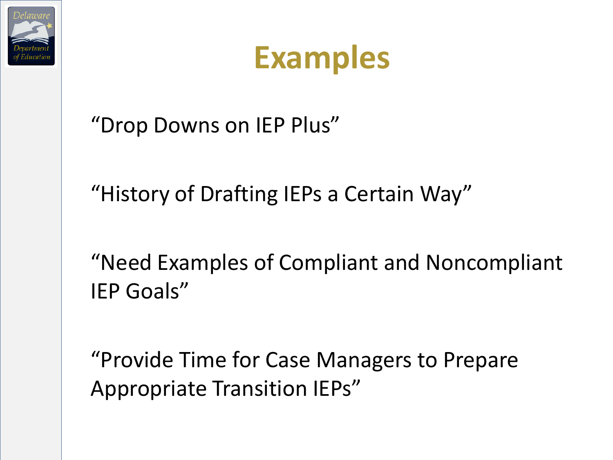

"Drop Downs on IEP Plus"

"History of Drafting IEPs a Certain Way"

"Need Examples of Compliant and Noncompliant IEP Goals"

"Provide Time for Case Managers to Prepare Appropriate Transition IEPs"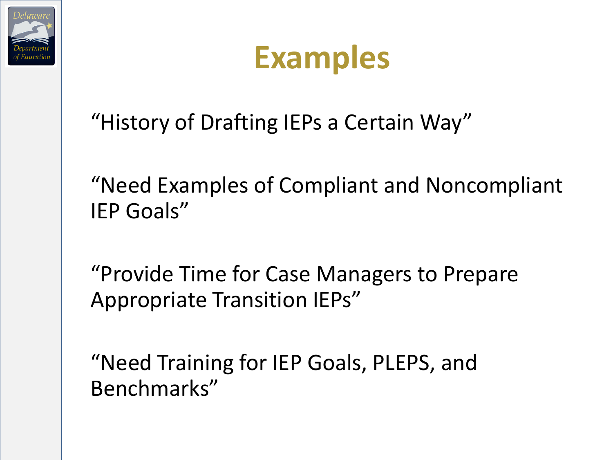



"History of Drafting IEPs a Certain Way"

"Need Examples of Compliant and Noncompliant IEP Goals"

"Provide Time for Case Managers to Prepare Appropriate Transition IEPs"

"Need Training for IEP Goals, PLEPS, and Benchmarks"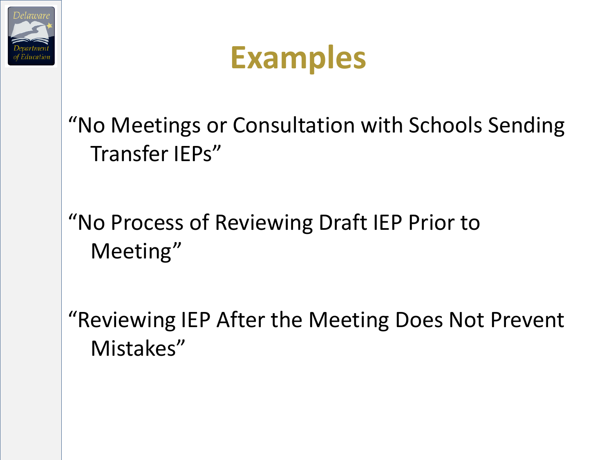



"No Meetings or Consultation with Schools Sending Transfer IEPs"

"No Process of Reviewing Draft IEP Prior to Meeting"

"Reviewing IEP After the Meeting Does Not Prevent Mistakes"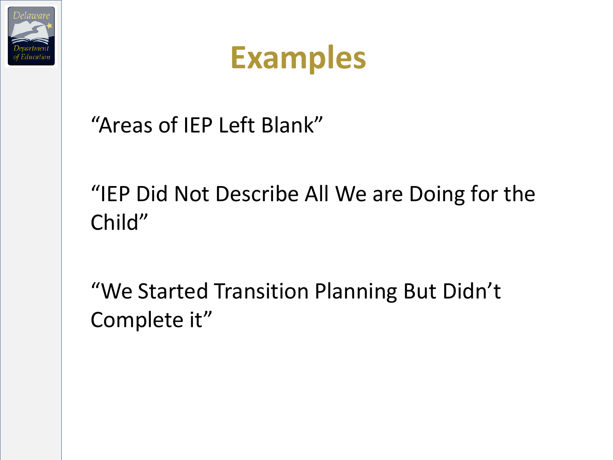

"Areas of IEP Left Blank"

"IEP Did Not Describe All We are Doing for the Child"

"We Started Transition Planning But Didn't Complete it"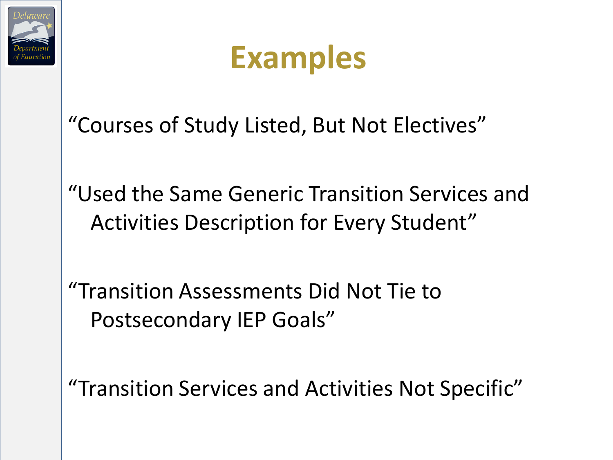

"Courses of Study Listed, But Not Electives"

"Used the Same Generic Transition Services and Activities Description for Every Student"

"Transition Assessments Did Not Tie to Postsecondary IEP Goals"

"Transition Services and Activities Not Specific"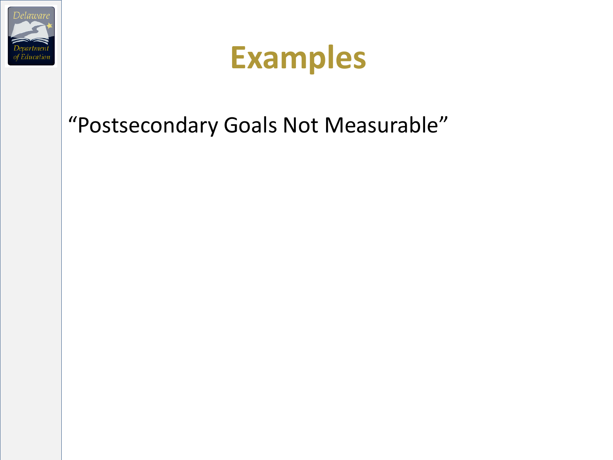

#### "Postsecondary Goals Not Measurable"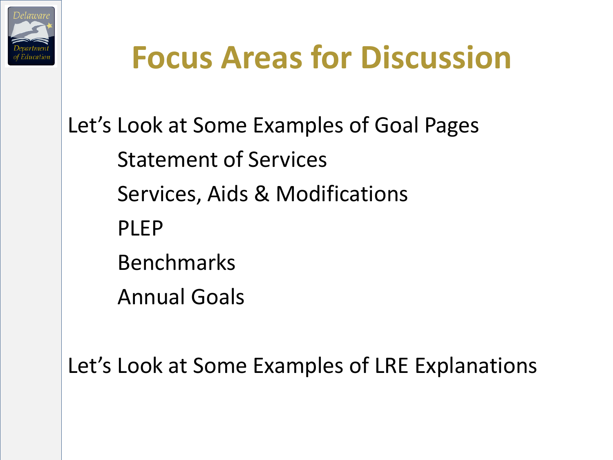

# **Focus Areas for Discussion**

Let's Look at Some Examples of Goal Pages Statement of Services Services, Aids & Modifications PLEP Benchmarks Annual Goals

Let's Look at Some Examples of LRE Explanations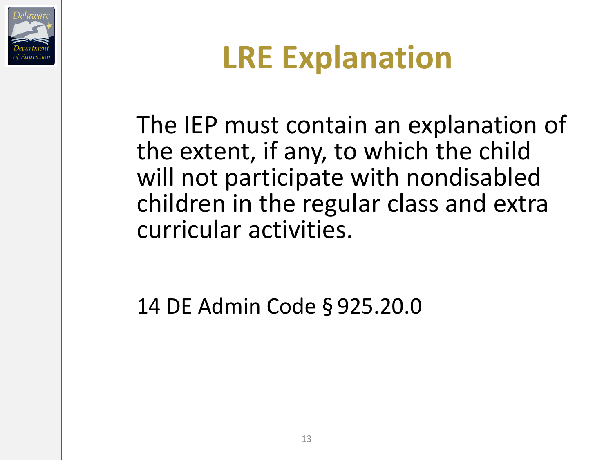



The IEP must contain an explanation of the extent, if any, to which the child will not participate with nondisabled children in the regular class and extra curricular activities.

14 DE Admin Code § 925.20.0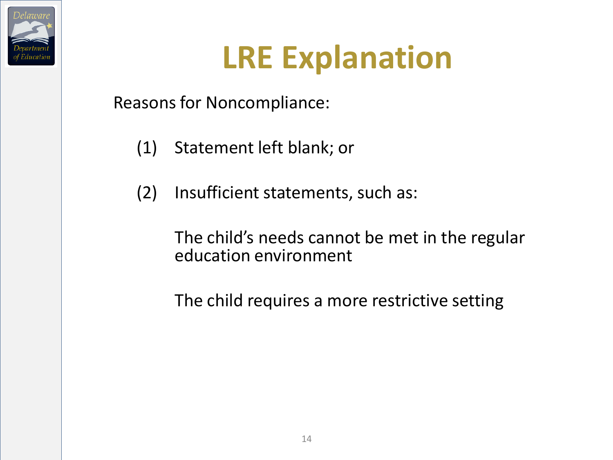

# **LRE Explanation**

Reasons for Noncompliance:

- (1) Statement left blank; or
- (2) Insufficient statements, such as:

The child's needs cannot be met in the regular education environment

The child requires a more restrictive setting